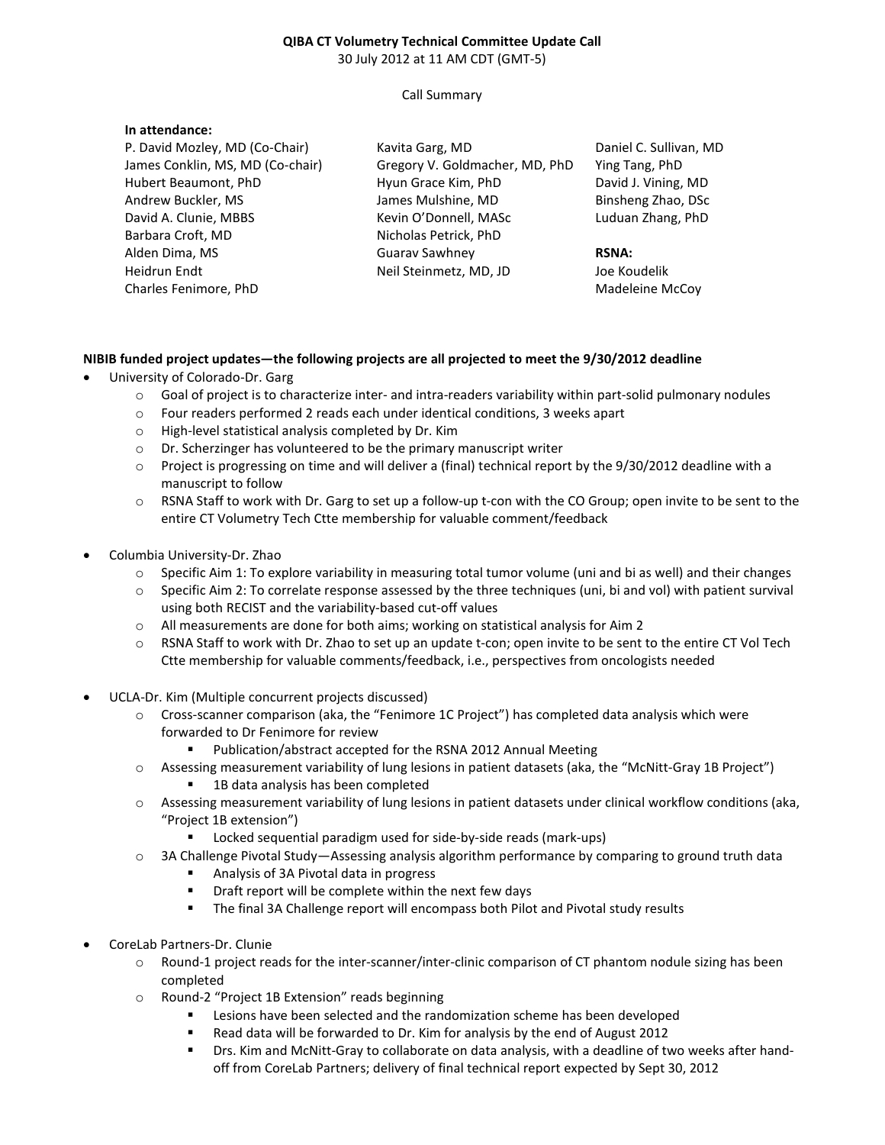#### **QIBA CT Volumetry Technical Committee Update Call**  30 July 2012 at 11 AM CDT (GMT-5)

Call Summary

### **In attendance:**

P. David Mozley, MD (Co-Chair) James Conklin, MS, MD (Co-chair) Hubert Beaumont, PhD Andrew Buckler, MS David A. Clunie, MBBS Barbara Croft, MD Alden Dima, MS Heidrun Endt Charles Fenimore, PhD

Kavita Garg, MD Gregory V. Goldmacher, MD, PhD Hyun Grace Kim, PhD James Mulshine, MD Kevin O'Donnell, MASc Nicholas Petrick, PhD Guarav Sawhney Neil Steinmetz, MD, JD

Daniel C. Sullivan, MD Ying Tang, PhD David J. Vining, MD Binsheng Zhao, DSc Luduan Zhang, PhD

#### **RSNA:**

Joe Koudelik Madeleine McCoy

## **NIBIB funded project updates—the following projects are all projected to meet the 9/30/2012 deadline**

- University of Colorado-Dr. Garg
	- o Goal of project is to characterize inter- and intra-readers variability within part-solid pulmonary nodules
	- o Four readers performed 2 reads each under identical conditions, 3 weeks apart
	- o High-level statistical analysis completed by Dr. Kim
	- o Dr. Scherzinger has volunteered to be the primary manuscript writer
	- $\circ$  Project is progressing on time and will deliver a (final) technical report by the 9/30/2012 deadline with a manuscript to follow
	- o RSNA Staff to work with Dr. Garg to set up a follow-up t-con with the CO Group; open invite to be sent to the entire CT Volumetry Tech Ctte membership for valuable comment/feedback
- Columbia University-Dr. Zhao
	- $\circ$  Specific Aim 1: To explore variability in measuring total tumor volume (uni and bi as well) and their changes
	- o Specific Aim 2: To correlate response assessed by the three techniques (uni, bi and vol) with patient survival using both RECIST and the variability-based cut-off values
	- o All measurements are done for both aims; working on statistical analysis for Aim 2
	- o RSNA Staff to work with Dr. Zhao to set up an update t-con; open invite to be sent to the entire CT Vol Tech Ctte membership for valuable comments/feedback, i.e., perspectives from oncologists needed
- UCLA-Dr. Kim (Multiple concurrent projects discussed)
	- o Cross-scanner comparison (aka, the "Fenimore 1C Project") has completed data analysis which were forwarded to Dr Fenimore for review
		- Publication/abstract accepted for the RSNA 2012 Annual Meeting
	- o Assessing measurement variability of lung lesions in patient datasets (aka, the "McNitt-Gray 1B Project")
		- **1B data analysis has been completed**
	- o Assessing measurement variability of lung lesions in patient datasets under clinical workflow conditions (aka, "Project 1B extension")
		- Locked sequential paradigm used for side-by-side reads (mark-ups)
	- o 3A Challenge Pivotal Study—Assessing analysis algorithm performance by comparing to ground truth data
		- Analysis of 3A Pivotal data in progress
		- **•** Draft report will be complete within the next few days
		- The final 3A Challenge report will encompass both Pilot and Pivotal study results
- CoreLab Partners-Dr. Clunie
	- o Round-1 project reads for the inter-scanner/inter-clinic comparison of CT phantom nodule sizing has been completed
	- o Round-2 "Project 1B Extension" reads beginning
		- Lesions have been selected and the randomization scheme has been developed
		- Read data will be forwarded to Dr. Kim for analysis by the end of August 2012
		- Drs. Kim and McNitt-Gray to collaborate on data analysis, with a deadline of two weeks after handoff from CoreLab Partners; delivery of final technical report expected by Sept 30, 2012